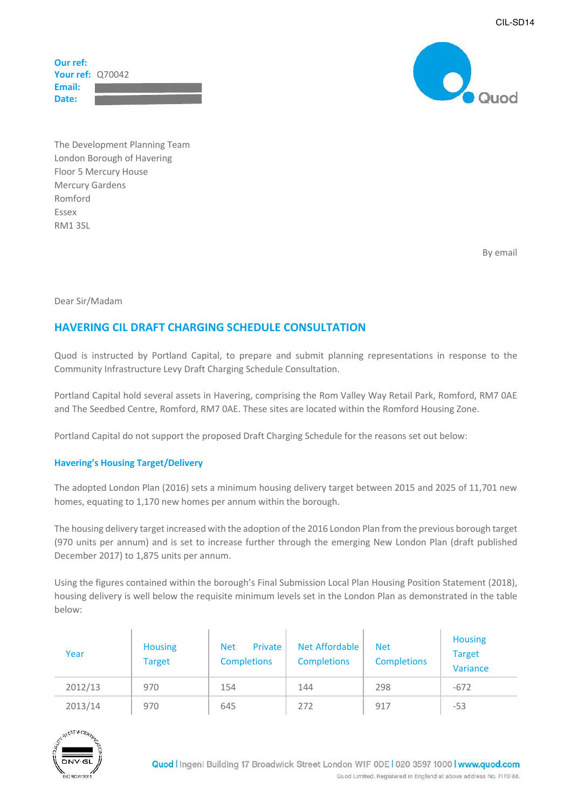**Our ref: Your ref:** Q70042 **Email:** Date:



 The Development Planning Team London Borough of Havering Floor 5 Mercury House Mercury Gardens Romford Essex RM1 3SL

By email

Dear Sir/Madam

# **HAVERING CIL DRAFT CHARGING SCHEDULE CONSULTATION**

 Quod is instructed by Portland Capital, to prepare and submit planning representations in response to the Community Infrastructure Levy Draft Charging Schedule Consultation.

 Portland Capital hold several assets in Havering, comprising the Rom Valley Way Retail Park, Romford, RM7 0AE and The Seedbed Centre, Romford, RM7 0AE. These sites are located within the Romford Housing Zone.

Portland Capital do not support the proposed Draft Charging Schedule for the reasons set out below:

### **Havering's Housing Target/Delivery**

 The adopted London Plan (2016) sets a minimum housing delivery target between 2015 and 2025 of 11,701 new homes, equating to 1,170 new homes per annum within the borough.

The housing delivery target increased with the adoption of the 2016 London Plan from the previous borough target (970 units per annum) and is set to increase further through the emerging New London Plan (draft published December 2017) to 1,875 units per annum.

 Using the figures contained within the borough's Final Submission Local Plan Housing Position Statement (2018), housing delivery is well below the requisite minimum levels set in the London Plan as demonstrated in the table below:

| Year    | <b>Housing</b><br><b>Target</b> | Private<br><b>Net</b><br><b>Completions</b> | Net Affordable<br><b>Completions</b> | <b>Net</b><br><b>Completions</b> | <b>Housing</b><br><b>Target</b><br>Variance |
|---------|---------------------------------|---------------------------------------------|--------------------------------------|----------------------------------|---------------------------------------------|
| 2012/13 | 970                             | 154                                         | 144                                  | 298                              | $-672$                                      |
| 2013/14 | 970                             | 645                                         | 272                                  | 917                              | $-53$                                       |

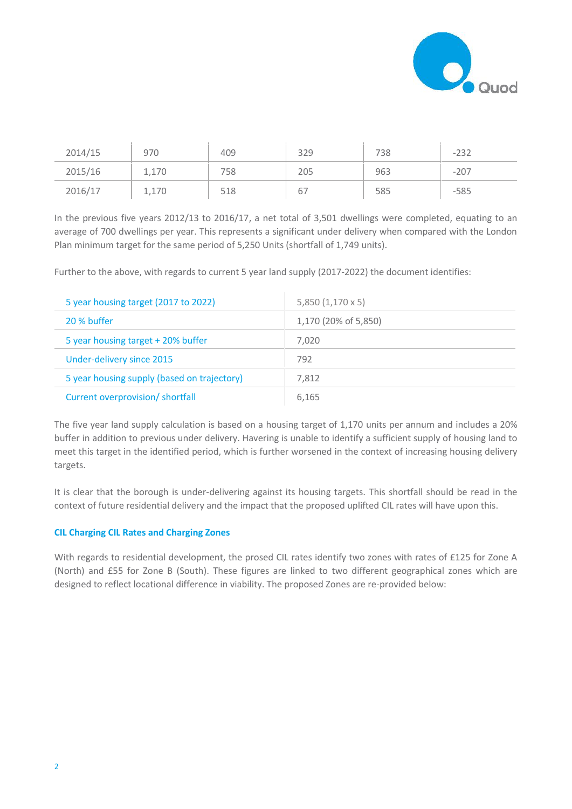

| 2014/15 | 970   | 409 | 329 | 738 | $-232$ |
|---------|-------|-----|-----|-----|--------|
| 2015/16 | 1,170 | 758 | 205 | 963 | $-207$ |
| 2016/17 | 1,170 | 518 | 67  | 585 | $-585$ |

 In the previous five years 2012/13 to 2016/17, a net total of 3,501 dwellings were completed, equating to an average of 700 dwellings per year. This represents a significant under delivery when compared with the London Plan minimum target for the same period of 5,250 Units (shortfall of 1,749 units).

Further to the above, with regards to current 5 year land supply (2017-2022) the document identifies:

| 5 year housing target (2017 to 2022)        | 5,850 (1,170 x 5)    |  |
|---------------------------------------------|----------------------|--|
| 20 % buffer                                 | 1,170 (20% of 5,850) |  |
| 5 year housing target + 20% buffer          | 7.020                |  |
| Under-delivery since 2015                   | 792                  |  |
| 5 year housing supply (based on trajectory) | 7.812                |  |
| Current overprovision/ shortfall            | 6.165                |  |

 The five year land supply calculation is based on a housing target of 1,170 units per annum and includes a 20% buffer in addition to previous under delivery. Havering is unable to identify a sufficient supply of housing land to meet this target in the identified period, which is further worsened in the context of increasing housing delivery targets.

 It is clear that the borough is under-delivering against its housing targets. This shortfall should be read in the context of future residential delivery and the impact that the proposed uplifted CIL rates will have upon this.

#### **CIL Charging CIL Rates and Charging Zones**

 With regards to residential development, the prosed CIL rates identify two zones with rates of £125 for Zone A (North) and £55 for Zone B (South). These figures are linked to two different geographical zones which are designed to reflect locational difference in viability. The proposed Zones are re-provided below: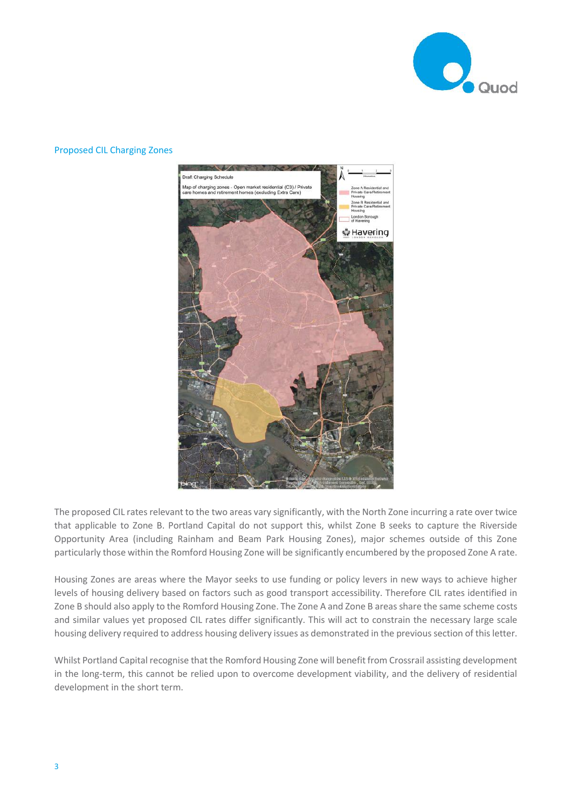

# **Draft Charging Schedule** Map of charging zones - Open market residential (C3) / Private<br>care homes and retirement homes (excluding Extra Care) London Borough ុំ Havering

## Proposed CIL Charging Zones

The proposed CIL rates relevant to the two areas vary significantly, with the North Zone incurring a rate over twice that applicable to Zone B. Portland Capital do not support this, whilst Zone B seeks to capture the Riverside Opportunity Area (including Rainham and Beam Park Housing Zones), major schemes outside of this Zone particularly those within the Romford Housing Zone will be significantly encumbered by the proposed Zone A rate.

 Housing Zones are areas where the Mayor seeks to use funding or policy levers in new ways to achieve higher levels of housing delivery based on factors such as good transport accessibility. Therefore CIL rates identified in Zone B should also apply to the Romford Housing Zone. The Zone A and Zone B areas share the same scheme costs and similar values yet proposed CIL rates differ significantly. This will act to constrain the necessary large scale housing delivery required to address housing delivery issues as demonstrated in the previous section of this letter.

 Whilst Portland Capital recognise that the Romford Housing Zone will benefit from Crossrail assisting development in the long-term, this cannot be relied upon to overcome development viability, and the delivery of residential development in the short term.